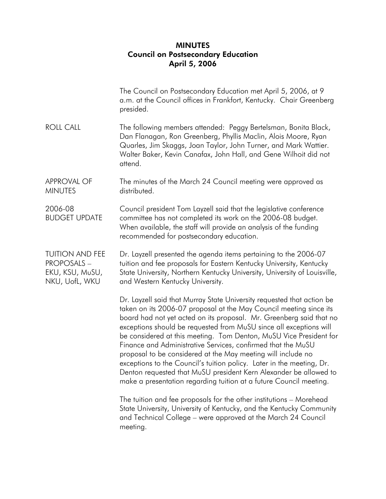## MINUTES Council on Postsecondary Education April 5, 2006

|                                                                                   | The Council on Postsecondary Education met April 5, 2006, at 9<br>a.m. at the Council offices in Frankfort, Kentucky. Chair Greenberg<br>presided.                                                                                                                                                                                                                                                                                                                                                                                                                                                                                                                                                                  |
|-----------------------------------------------------------------------------------|---------------------------------------------------------------------------------------------------------------------------------------------------------------------------------------------------------------------------------------------------------------------------------------------------------------------------------------------------------------------------------------------------------------------------------------------------------------------------------------------------------------------------------------------------------------------------------------------------------------------------------------------------------------------------------------------------------------------|
| <b>ROLL CALL</b>                                                                  | The following members attended: Peggy Bertelsman, Bonita Black,<br>Dan Flanagan, Ron Greenberg, Phyllis Maclin, Alois Moore, Ryan<br>Quarles, Jim Skaggs, Joan Taylor, John Turner, and Mark Wattier.<br>Walter Baker, Kevin Canafax, John Hall, and Gene Wilhoit did not<br>attend.                                                                                                                                                                                                                                                                                                                                                                                                                                |
| <b>APPROVAL OF</b><br><b>MINUTES</b>                                              | The minutes of the March 24 Council meeting were approved as<br>distributed.                                                                                                                                                                                                                                                                                                                                                                                                                                                                                                                                                                                                                                        |
| 2006-08<br><b>BUDGET UPDATE</b>                                                   | Council president Tom Layzell said that the legislative conference<br>committee has not completed its work on the 2006-08 budget.<br>When available, the staff will provide an analysis of the funding<br>recommended for postsecondary education.                                                                                                                                                                                                                                                                                                                                                                                                                                                                  |
| <b>TUITION AND FEE</b><br><b>PROPOSALS -</b><br>EKU, KSU, MuSU,<br>NKU, UofL, WKU | Dr. Layzell presented the agenda items pertaining to the 2006-07<br>tuition and fee proposals for Eastern Kentucky University, Kentucky<br>State University, Northern Kentucky University, University of Louisville,<br>and Western Kentucky University.                                                                                                                                                                                                                                                                                                                                                                                                                                                            |
|                                                                                   | Dr. Layzell said that Murray State University requested that action be<br>taken on its 2006-07 proposal at the May Council meeting since its<br>board had not yet acted on its proposal. Mr. Greenberg said that no<br>exceptions should be requested from MuSU since all exceptions will<br>be considered at this meeting. Tom Denton, MuSU Vice President for<br>Finance and Administrative Services, confirmed that the MuSU<br>proposal to be considered at the May meeting will include no<br>exceptions to the Council's tuition policy. Later in the meeting, Dr.<br>Denton requested that MuSU president Kern Alexander be allowed to<br>make a presentation regarding tuition at a future Council meeting. |
|                                                                                   | The tuition and fee proposals for the other institutions – Morehead<br>State University, University of Kentucky, and the Kentucky Community<br>and Technical College - were approved at the March 24 Council<br>meeting.                                                                                                                                                                                                                                                                                                                                                                                                                                                                                            |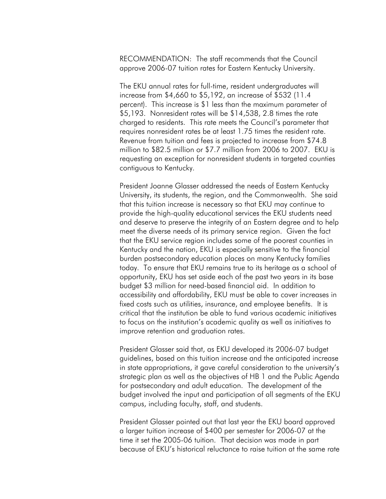RECOMMENDATION: The staff recommends that the Council approve 2006-07 tuition rates for Eastern Kentucky University.

The EKU annual rates for full-time, resident undergraduates will increase from \$4,660 to \$5,192, an increase of \$532 (11.4 percent). This increase is \$1 less than the maximum parameter of \$5,193. Nonresident rates will be \$14,538, 2.8 times the rate charged to residents. This rate meets the Council's parameter that requires nonresident rates be at least 1.75 times the resident rate. Revenue from tuition and fees is projected to increase from \$74.8 million to \$82.5 million or \$7.7 million from 2006 to 2007. EKU is requesting an exception for nonresident students in targeted counties contiguous to Kentucky.

President Joanne Glasser addressed the needs of Eastern Kentucky University, its students, the region, and the Commonwealth. She said that this tuition increase is necessary so that EKU may continue to provide the high-quality educational services the EKU students need and deserve to preserve the integrity of an Eastern degree and to help meet the diverse needs of its primary service region. Given the fact that the EKU service region includes some of the poorest counties in Kentucky and the nation, EKU is especially sensitive to the financial burden postsecondary education places on many Kentucky families today. To ensure that EKU remains true to its heritage as a school of opportunity, EKU has set aside each of the past two years in its base budget \$3 million for need-based financial aid. In addition to accessibility and affordability, EKU must be able to cover increases in fixed costs such as utilities, insurance, and employee benefits. It is critical that the institution be able to fund various academic initiatives to focus on the institution's academic quality as well as initiatives to improve retention and graduation rates.

President Glasser said that, as EKU developed its 2006-07 budget guidelines, based on this tuition increase and the anticipated increase in state appropriations, it gave careful consideration to the university's strategic plan as well as the objectives of HB 1 and the Public Agenda for postsecondary and adult education. The development of the budget involved the input and participation of all segments of the EKU campus, including faculty, staff, and students.

President Glasser pointed out that last year the EKU board approved a larger tuition increase of \$400 per semester for 2006-07 at the time it set the 2005-06 tuition. That decision was made in part because of EKU's historical reluctance to raise tuition at the same rate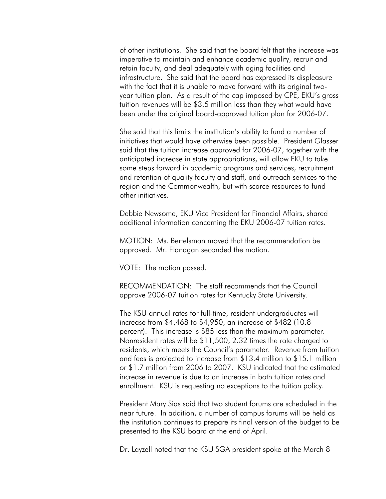of other institutions. She said that the board felt that the increase was imperative to maintain and enhance academic quality, recruit and retain faculty, and deal adequately with aging facilities and infrastructure. She said that the board has expressed its displeasure with the fact that it is unable to move forward with its original twoyear tuition plan. As a result of the cap imposed by CPE, EKU's gross tuition revenues will be \$3.5 million less than they what would have been under the original board-approved tuition plan for 2006-07.

She said that this limits the institution's ability to fund a number of initiatives that would have otherwise been possible. President Glasser said that the tuition increase approved for 2006-07, together with the anticipated increase in state appropriations, will allow EKU to take some steps forward in academic programs and services, recruitment and retention of quality faculty and staff, and outreach services to the region and the Commonwealth, but with scarce resources to fund other initiatives.

Debbie Newsome, EKU Vice President for Financial Affairs, shared additional information concerning the EKU 2006-07 tuition rates.

MOTION: Ms. Bertelsman moved that the recommendation be approved. Mr. Flanagan seconded the motion.

VOTE: The motion passed.

RECOMMENDATION: The staff recommends that the Council approve 2006-07 tuition rates for Kentucky State University.

The KSU annual rates for full-time, resident undergraduates will increase from \$4,468 to \$4,950, an increase of \$482 (10.8 percent). This increase is \$85 less than the maximum parameter. Nonresident rates will be \$11,500, 2.32 times the rate charged to residents, which meets the Council's parameter. Revenue from tuition and fees is projected to increase from \$13.4 million to \$15.1 million or \$1.7 million from 2006 to 2007. KSU indicated that the estimated increase in revenue is due to an increase in both tuition rates and enrollment. KSU is requesting no exceptions to the tuition policy.

President Mary Sias said that two student forums are scheduled in the near future. In addition, a number of campus forums will be held as the institution continues to prepare its final version of the budget to be presented to the KSU board at the end of April.

Dr. Layzell noted that the KSU SGA president spoke at the March 8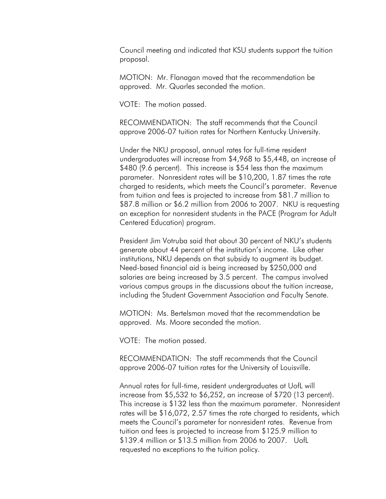Council meeting and indicated that KSU students support the tuition proposal.

MOTION: Mr. Flanagan moved that the recommendation be approved. Mr. Quarles seconded the motion.

VOTE: The motion passed.

RECOMMENDATION: The staff recommends that the Council approve 2006-07 tuition rates for Northern Kentucky University.

Under the NKU proposal, annual rates for full-time resident undergraduates will increase from \$4,968 to \$5,448, an increase of \$480 (9.6 percent). This increase is \$54 less than the maximum parameter. Nonresident rates will be \$10,200, 1.87 times the rate charged to residents, which meets the Council's parameter. Revenue from tuition and fees is projected to increase from \$81.7 million to \$87.8 million or \$6.2 million from 2006 to 2007. NKU is requesting an exception for nonresident students in the PACE (Program for Adult Centered Education) program.

President Jim Votruba said that about 30 percent of NKU's students generate about 44 percent of the institution's income. Like other institutions, NKU depends on that subsidy to augment its budget. Need-based financial aid is being increased by \$250,000 and salaries are being increased by 3.5 percent. The campus involved various campus groups in the discussions about the tuition increase, including the Student Government Association and Faculty Senate.

MOTION: Ms. Bertelsman moved that the recommendation be approved. Ms. Moore seconded the motion.

VOTE: The motion passed.

RECOMMENDATION: The staff recommends that the Council approve 2006-07 tuition rates for the University of Louisville.

Annual rates for full-time, resident undergraduates at UofL will increase from \$5,532 to \$6,252, an increase of \$720 (13 percent). This increase is \$132 less than the maximum parameter. Nonresident rates will be \$16,072, 2.57 times the rate charged to residents, which meets the Council's parameter for nonresident rates. Revenue from tuition and fees is projected to increase from \$125.9 million to \$139.4 million or \$13.5 million from 2006 to 2007. UofL requested no exceptions to the tuition policy.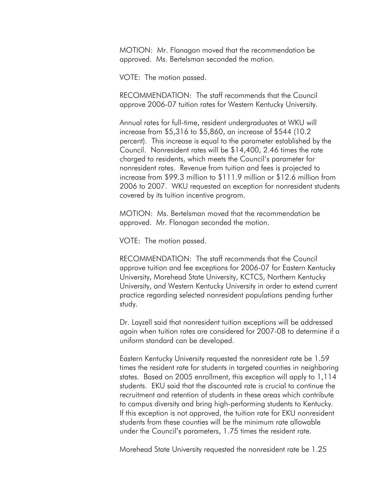MOTION: Mr. Flanagan moved that the recommendation be approved. Ms. Bertelsman seconded the motion.

VOTE: The motion passed.

RECOMMENDATION: The staff recommends that the Council approve 2006-07 tuition rates for Western Kentucky University.

Annual rates for full-time, resident undergraduates at WKU will increase from \$5,316 to \$5,860, an increase of \$544 (10.2 percent). This increase is equal to the parameter established by the Council. Nonresident rates will be \$14,400, 2.46 times the rate charged to residents, which meets the Council's parameter for nonresident rates. Revenue from tuition and fees is projected to increase from \$99.3 million to \$111.9 million or \$12.6 million from 2006 to 2007. WKU requested an exception for nonresident students covered by its tuition incentive program.

MOTION: Ms. Bertelsman moved that the recommendation be approved. Mr. Flanagan seconded the motion.

VOTE: The motion passed.

RECOMMENDATION: The staff recommends that the Council approve tuition and fee exceptions for 2006-07 for Eastern Kentucky University, Morehead State University, KCTCS, Northern Kentucky University, and Western Kentucky University in order to extend current practice regarding selected nonresident populations pending further study.

Dr. Layzell said that nonresident tuition exceptions will be addressed again when tuition rates are considered for 2007-08 to determine if a uniform standard can be developed.

Eastern Kentucky University requested the nonresident rate be 1.59 times the resident rate for students in targeted counties in neighboring states. Based on 2005 enrollment, this exception will apply to 1,114 students. EKU said that the discounted rate is crucial to continue the recruitment and retention of students in these areas which contribute to campus diversity and bring high-performing students to Kentucky. If this exception is not approved, the tuition rate for EKU nonresident students from these counties will be the minimum rate allowable under the Council's parameters, 1.75 times the resident rate.

Morehead State University requested the nonresident rate be 1.25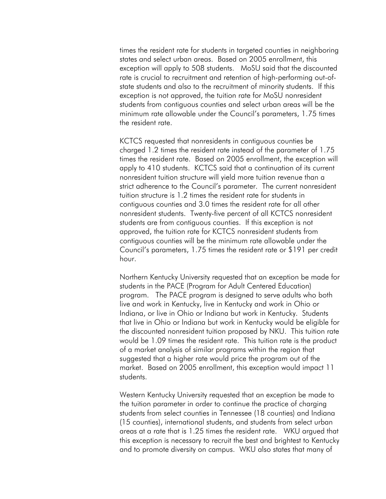times the resident rate for students in targeted counties in neighboring states and select urban areas. Based on 2005 enrollment, this exception will apply to 508 students. MoSU said that the discounted rate is crucial to recruitment and retention of high-performing out-ofstate students and also to the recruitment of minority students. If this exception is not approved, the tuition rate for MoSU nonresident students from contiguous counties and select urban areas will be the minimum rate allowable under the Council's parameters, 1.75 times the resident rate.

KCTCS requested that nonresidents in contiguous counties be charged 1.2 times the resident rate instead of the parameter of 1.75 times the resident rate. Based on 2005 enrollment, the exception will apply to 410 students. KCTCS said that a continuation of its current nonresident tuition structure will yield more tuition revenue than a strict adherence to the Council's parameter. The current nonresident tuition structure is 1.2 times the resident rate for students in contiguous counties and 3.0 times the resident rate for all other nonresident students. Twenty-five percent of all KCTCS nonresident students are from contiguous counties. If this exception is not approved, the tuition rate for KCTCS nonresident students from contiguous counties will be the minimum rate allowable under the Council's parameters, 1.75 times the resident rate or \$191 per credit hour.

Northern Kentucky University requested that an exception be made for students in the PACE (Program for Adult Centered Education) program. The PACE program is designed to serve adults who both live and work in Kentucky, live in Kentucky and work in Ohio or Indiana, or live in Ohio or Indiana but work in Kentucky. Students that live in Ohio or Indiana but work in Kentucky would be eligible for the discounted nonresident tuition proposed by NKU. This tuition rate would be 1.09 times the resident rate. This tuition rate is the product of a market analysis of similar programs within the region that suggested that a higher rate would price the program out of the market. Based on 2005 enrollment, this exception would impact 11 students.

Western Kentucky University requested that an exception be made to the tuition parameter in order to continue the practice of charging students from select counties in Tennessee (18 counties) and Indiana (15 counties), international students, and students from select urban areas at a rate that is 1.25 times the resident rate. WKU argued that this exception is necessary to recruit the best and brightest to Kentucky and to promote diversity on campus. WKU also states that many of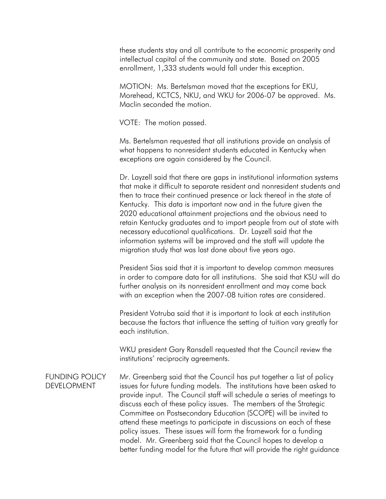these students stay and all contribute to the economic prosperity and intellectual capital of the community and state. Based on 2005 enrollment, 1,333 students would fall under this exception.

MOTION: Ms. Bertelsman moved that the exceptions for EKU, Morehead, KCTCS, NKU, and WKU for 2006-07 be approved. Ms. Maclin seconded the motion.

VOTE: The motion passed.

Ms. Bertelsman requested that all institutions provide an analysis of what happens to nonresident students educated in Kentucky when exceptions are again considered by the Council.

Dr. Layzell said that there are gaps in institutional information systems that make it difficult to separate resident and nonresident students and then to trace their continued presence or lack thereof in the state of Kentucky. This data is important now and in the future given the 2020 educational attainment projections and the obvious need to retain Kentucky graduates and to import people from out of state with necessary educational qualifications. Dr. Layzell said that the information systems will be improved and the staff will update the migration study that was last done about five years ago.

President Sias said that it is important to develop common measures in order to compare data for all institutions. She said that KSU will do further analysis on its nonresident enrollment and may come back with an exception when the 2007-08 tuition rates are considered.

President Votruba said that it is important to look at each institution because the factors that influence the setting of tuition vary greatly for each institution.

WKU president Gary Ransdell requested that the Council review the institutions' reciprocity agreements.

## FUNDING POLICY DEVELOPMENT

Mr. Greenberg said that the Council has put together a list of policy issues for future funding models. The institutions have been asked to provide input. The Council staff will schedule a series of meetings to discuss each of these policy issues. The members of the Strategic Committee on Postsecondary Education (SCOPE) will be invited to attend these meetings to participate in discussions on each of these policy issues. These issues will form the framework for a funding model. Mr. Greenberg said that the Council hopes to develop a better funding model for the future that will provide the right guidance